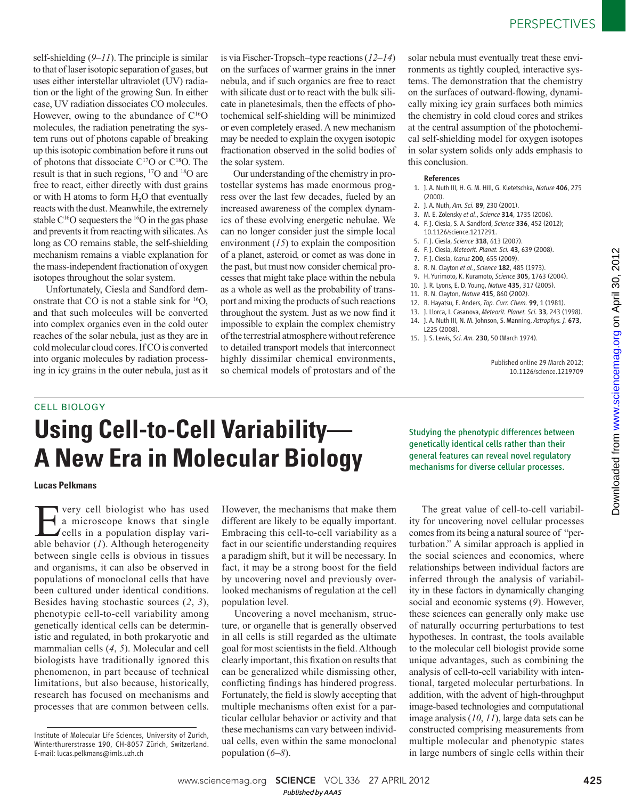self-shielding  $(9-11)$ . The principle is similar to that of laser isotopic separation of gases, but uses either interstellar ultraviolet (UV) radiation or the light of the growing Sun. In either case, UV radiation dissociates CO molecules. However, owing to the abundance of  $C^{16}O$ molecules, the radiation penetrating the system runs out of photons capable of breaking up this isotopic combination before it runs out of photons that dissociate C<sup>17</sup>O or C<sup>18</sup>O. The result is that in such regions, <sup>17</sup>O and <sup>18</sup>O are free to react, either directly with dust grains or with  $H$  atoms to form  $H<sub>2</sub>O$  that eventually reacts with the dust. Meanwhile, the extremely stable  $C^{16}O$  sequesters the <sup>16</sup>O in the gas phase and prevents it from reacting with silicates. As long as CO remains stable, the self-shielding mechanism remains a viable explanation for the mass-independent fractionation of oxygen isotopes throughout the solar system.

Unfortunately, Ciesla and Sandford demonstrate that CO is not a stable sink for <sup>16</sup>O, and that such molecules will be converted into complex organics even in the cold outer reaches of the solar nebula, just as they are in cold molecular cloud cores. If CO is converted into organic molecules by radiation processing in icy grains in the outer nebula, just as it

is via Fischer-Tropsch–type reactions  $(12-14)$ on the surfaces of warmer grains in the inner nebula, and if such organics are free to react with silicate dust or to react with the bulk silicate in planetesimals, then the effects of photochemical self-shielding will be minimized or even completely erased. A new mechanism may be needed to explain the oxygen isotopic fractionation observed in the solid bodies of the solar system.

Our understanding of the chemistry in protostellar systems has made enormous progress over the last few decades, fueled by an increased awareness of the complex dynamics of these evolving energetic nebulae. We can no longer consider just the simple local environment  $(15)$  to explain the composition of a planet, asteroid, or comet as was done in the past, but must now consider chemical processes that might take place within the nebula as a whole as well as the probability of transport and mixing the products of such reactions throughout the system. Just as we now find it impossible to explain the complex chemistry of the terrestrial atmosphere without reference to detailed transport models that interconnect highly dissimilar chemical environments, so chemical models of protostars and of the solar nebula must eventually treat these environments as tightly coupled, interactive systems. The demonstration that the chemistry on the surfaces of outward-flowing, dynamically mixing icy grain surfaces both mimics the chemistry in cold cloud cores and strikes at the central assumption of the photochemical self-shielding model for oxygen isotopes in solar system solids only adds emphasis to this conclusion.

## References

- 1. J. A. Nuth III, H. G. M. Hill, G. Kletetschka, *Nature* 406, 275  $(2000)$
- 2. J. A. Nuth, *Am. Sci.* 89, 230 (2001).
- 3. M. E. Zolensky *et al*., *Science* 314, 1735 (2006).
- 4. F. J. Ciesla, S. A. Sandford, *Science* 336, 452 (2012); 10.1126/science.1217291.
- 5. F. J. Ciesla, *Science* 318, 613 (2007).
- 6. F. J. Ciesla, *Meteorit. Planet. Sci.* 43, 639 (2008).
- 7. F. J. Ciesla, *Icarus* 200, 655 (2009).
- 8. R. N. Clayton *et al.*, *Science* 182, 485 (1973).
- 9. H. Yurimoto, K. Kuramoto, *Science* 305, 1763 (2004).
- 10. J. R. Lyons, E. D. Young, *Nature* 435, 317 (2005).
- 11. R. N. Clayton, *Nature* 415, 860 (2002).
- 12. R. Hayatsu, E. Anders, *Top. Curr. Chem.* 99, 1 (1981).
- 13. J. Llorca, I. Casanova, *Meteorit. Planet. Sci.* 33, 243 (1998). 14. J. A. Nuth III, N. M. Johnson, S. Manning, *Astrophys. J.* 673,
- L225 (2008). 15. J. S. Lewis, *Sci. Am.* 230, 50 (March 1974).

Published online 29 March 2012; 10.1126/science.1219709

## CELL BIOLOGY

## **Using Cell-to-Cell Variability— A New Era in Molecular Biology**

**Lucas Pelkmans**

**T** very cell biologist who has used a microscope knows that single cells in a population display variable behavior (1). Although heterogeneity between single cells is obvious in tissues and organisms, it can also be observed in populations of monoclonal cells that have been cultured under identical conditions. Besides having stochastic sources  $(2, 3)$ , phenotypic cell-to-cell variability among genetically identical cells can be deterministic and regulated, in both prokaryotic and mammalian cells (4, 5). Molecular and cell biologists have traditionally ignored this phenomenon, in part because of technical limitations, but also because, historically, research has focused on mechanisms and processes that are common between cells.

However, the mechanisms that make them different are likely to be equally important. Embracing this cell-to-cell variability as a fact in our scientific understanding requires a paradigm shift, but it will be necessary. In fact, it may be a strong boost for the field by uncovering novel and previously overlooked mechanisms of regulation at the cell population level.

Uncovering a novel mechanism, structure, or organelle that is generally observed in all cells is still regarded as the ultimate goal for most scientists in the field. Although clearly important, this fixation on results that can be generalized while dismissing other, conflicting findings has hindered progress. Fortunately, the field is slowly accepting that multiple mechanisms often exist for a particular cellular behavior or activity and that these mechanisms can vary between individual cells, even within the same monoclonal population  $(6-8)$ .

Studying the phenotypic differences between genetically identical cells rather than their general features can reveal novel regulatory mechanisms for diverse cellular processes.

The great value of cell-to-cell variability for uncovering novel cellular processes comes from its being a natural source of "perturbation." A similar approach is applied in the social sciences and economics, where relationships between individual factors are inferred through the analysis of variability in these factors in dynamically changing social and economic systems (9). However, these sciences can generally only make use of naturally occurring perturbations to test hypotheses. In contrast, the tools available to the molecular cell biologist provide some unique advantages, such as combining the analysis of cell-to-cell variability with intentional, targeted molecular perturbations. In addition, with the advent of high-throughput image-based technologies and computational image analysis ( *10*, *11*), large data sets can be constructed comprising measurements from multiple molecular and phenotypic states in large numbers of single cells within their

Institute of Molecular Life Sciences, University of Zurich, Winterthurerstrasse 190, CH-8057 Zürich, Switzerland. E-mail: lucas.pelkmans@imls.uzh.ch